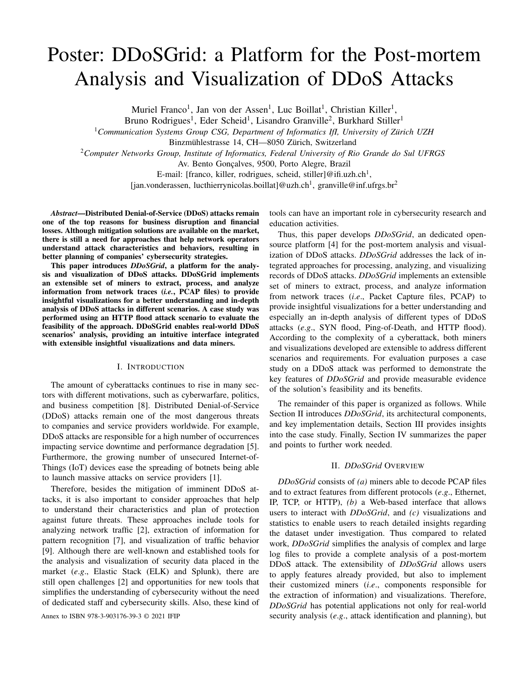# Poster: DDoSGrid: a Platform for the Post-mortem Analysis and Visualization of DDoS Attacks

Muriel Franco<sup>1</sup>, Jan von der Assen<sup>1</sup>, Luc Boillat<sup>1</sup>, Christian Killer<sup>1</sup>,

Bruno Rodrigues<sup>1</sup>, Eder Scheid<sup>1</sup>, Lisandro Granville<sup>2</sup>, Burkhard Stiller<sup>1</sup>

<sup>1</sup>*Communication Systems Group CSG, Department of Informatics IfI, University of Zurich UZH ¨*

Binzmühlestrasse 14, CH-8050 Zürich, Switzerland

<sup>2</sup>*Computer Networks Group, Institute of Informatics, Federal University of Rio Grande do Sul UFRGS*

Av. Bento Goncalves, 9500, Porto Alegre, Brazil

E-mail: [franco, killer, rodrigues, scheid, stiller]@ifi.uzh.ch<sup>1</sup>, [jan.vonderassen, lucthierrynicolas.boillat]@uzh.ch<sup>1</sup>, granville@inf.ufrgs.br<sup>2</sup>

*Abstract*—Distributed Denial-of-Service (DDoS) attacks remain one of the top reasons for business disruption and financial losses. Although mitigation solutions are available on the market, there is still a need for approaches that help network operators understand attack characteristics and behaviors, resulting in better planning of companies' cybersecurity strategies.

This paper introduces *DDoSGrid*, a platform for the analysis and visualization of DDoS attacks. DDoSGrid implements an extensible set of miners to extract, process, and analyze information from network traces (*i.e.*, PCAP files) to provide insightful visualizations for a better understanding and in-depth analysis of DDoS attacks in different scenarios. A case study was performed using an HTTP flood attack scenario to evaluate the feasibility of the approach. DDoSGrid enables real-world DDoS scenarios' analysis, providing an intuitive interface integrated with extensible insightful visualizations and data miners.

#### I. INTRODUCTION

The amount of cyberattacks continues to rise in many sectors with different motivations, such as cyberwarfare, politics, and business competition [8]. Distributed Denial-of-Service (DDoS) attacks remain one of the most dangerous threats to companies and service providers worldwide. For example, DDoS attacks are responsible for a high number of occurrences impacting service downtime and performance degradation [5]. Furthermore, the growing number of unsecured Internet-of-Things (IoT) devices ease the spreading of botnets being able to launch massive attacks on service providers [1].

Therefore, besides the mitigation of imminent DDoS attacks, it is also important to consider approaches that help to understand their characteristics and plan of protection against future threats. These approaches include tools for analyzing network traffic [2], extraction of information for pattern recognition [7], and visualization of traffic behavior [9]. Although there are well-known and established tools for the analysis and visualization of security data placed in the market (*e*.*g*., Elastic Stack (ELK) and Splunk), there are still open challenges [2] and opportunities for new tools that simplifies the understanding of cybersecurity without the need of dedicated staff and cybersecurity skills. Also, these kind of

tools can have an important role in cybersecurity research and education activities.

Thus, this paper develops *DDoSGrid*, an dedicated opensource platform [4] for the post-mortem analysis and visualization of DDoS attacks. *DDoSGrid* addresses the lack of integrated approaches for processing, analyzing, and visualizing records of DDoS attacks. *DDoSGrid* implements an extensible set of miners to extract, process, and analyze information from network traces (*i*.*e*., Packet Capture files, PCAP) to provide insightful visualizations for a better understanding and especially an in-depth analysis of different types of DDoS attacks (*e*.*g*., SYN flood, Ping-of-Death, and HTTP flood). According to the complexity of a cyberattack, both miners and visualizations developed are extensible to address different scenarios and requirements. For evaluation purposes a case study on a DDoS attack was performed to demonstrate the key features of *DDoSGrid* and provide measurable evidence of the solution's feasibility and its benefits.

The remainder of this paper is organized as follows. While Section II introduces *DDoSGrid*, its architectural components, and key implementation details, Section III provides insights into the case study. Finally, Section IV summarizes the paper and points to further work needed.

## II. *DDoSGrid* OVERVIEW

*DDoSGrid* consists of *(a)* miners able to decode PCAP files and to extract features from different protocols (*e*.*g*., Ethernet, IP, TCP, or HTTP), *(b)* a Web-based interface that allows users to interact with *DDoSGrid*, and *(c)* visualizations and statistics to enable users to reach detailed insights regarding the dataset under investigation. Thus compared to related work, *DDoSGrid* simplifies the analysis of complex and large log files to provide a complete analysis of a post-mortem DDoS attack. The extensibility of *DDoSGrid* allows users to apply features already provided, but also to implement their customized miners (*i*.*e*., components responsible for the extraction of information) and visualizations. Therefore, *DDoSGrid* has potential applications not only for real-world Annex to ISBN 978-3-903176-39-3 © 2021 IFIP security analysis (*e.g.*, attack identification and planning), but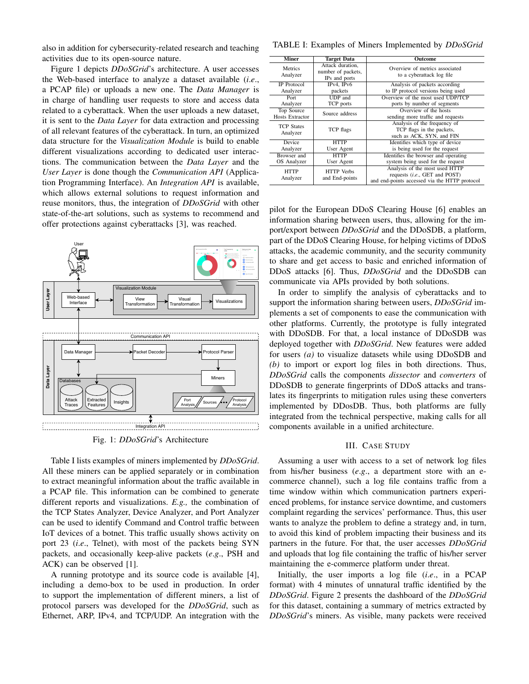also in addition for cybersecurity-related research and teaching activities due to its open-source nature.

Figure 1 depicts *DDoSGrid*'s architecture. A user accesses the Web-based interface to analyze a dataset available (*i*.*e*., a PCAP file) or uploads a new one. The *Data Manager* is in charge of handling user requests to store and access data related to a cyberattack. When the user uploads a new dataset, it is sent to the *Data Layer* for data extraction and processing of all relevant features of the cyberattack. In turn, an optimized data structure for the *Visualization Module* is build to enable different visualizations according to dedicated user interactions. The communication between the *Data Layer* and the *User Layer* is done though the *Communication API* (Application Programming Interface). An *Integration API* is available, which allows external solutions to request information and reuse monitors, thus, the integration of *DDoSGrid* with other state-of-the-art solutions, such as systems to recommend and offer protections against cyberattacks [3], was reached.



Fig. 1: *DDoSGrid*'s Architecture

Table I lists examples of miners implemented by *DDoSGrid*. All these miners can be applied separately or in combination to extract meaningful information about the traffic available in a PCAP file. This information can be combined to generate different reports and visualizations. *E.g.,* the combination of the TCP States Analyzer, Device Analyzer, and Port Analyzer can be used to identify Command and Control traffic between IoT devices of a botnet. This traffic usually shows activity on port 23 (*i*.*e*., Telnet), with most of the packets being SYN packets, and occasionally keep-alive packets (*e*.*g*., PSH and ACK) can be observed [1].

A running prototype and its source code is available [4], including a demo-box to be used in production. In order to support the implementation of different miners, a list of protocol parsers was developed for the *DDoSGrid*, such as Ethernet, ARP, IPv4, and TCP/UDP. An integration with the

TABLE I: Examples of Miners Implemented by *DDoSGrid*

| <b>Miner</b>                  | Target Data                                             | Outcome                                                                                                          |
|-------------------------------|---------------------------------------------------------|------------------------------------------------------------------------------------------------------------------|
| <b>Metrics</b><br>Analyzer    | Attack duration,<br>number of packets,<br>IPs and ports | Overview of metrics associated<br>to a cyberattack log file                                                      |
| <b>IP</b> Protocol            | IPv4, IPv6                                              | Analysis of packets according                                                                                    |
| Analyzer                      | packets                                                 | to IP protocol versions being used                                                                               |
| Port                          | <b>UDP</b> and                                          | Overview of the most used UDP/TCP                                                                                |
| Analyzer                      | TCP ports                                               | ports by number of segments                                                                                      |
| Top Source                    | Source address                                          | Overview of the hosts                                                                                            |
| <b>Hosts Extractor</b>        |                                                         | sending more traffic and requests                                                                                |
| <b>TCP States</b><br>Analyzer | TCP flags                                               | Analysis of the frequency of<br>TCP flags in the packets,<br>such as ACK, SYN, and FIN                           |
| <b>Device</b>                 | <b>HTTP</b>                                             | Identifies which type of device                                                                                  |
| Analyzer                      | User Agent                                              | is being used for the request                                                                                    |
| Browser and                   | <b>HTTP</b>                                             | Identifies the browser and operating                                                                             |
| OS Analyzer                   | User Agent                                              | system being used for the request                                                                                |
| <b>HTTP</b><br>Analyzer       | <b>HTTP</b> Verbs<br>and End-points                     | Analysis of the most used HTTP<br>requests (i.e., GET and POST)<br>and end-points accessed via the HTTP protocol |

pilot for the European DDoS Clearing House [6] enables an information sharing between users, thus, allowing for the import/export between *DDoSGrid* and the DDoSDB, a platform, part of the DDoS Clearing House, for helping victims of DDoS attacks, the academic community, and the security community to share and get access to basic and enriched information of DDoS attacks [6]. Thus, *DDoSGrid* and the DDoSDB can communicate via APIs provided by both solutions.

In order to simplify the analysis of cyberattacks and to support the information sharing between users, *DDoSGrid* implements a set of components to ease the communication with other platforms. Currently, the prototype is fully integrated with DDoSDB. For that, a local instance of DDoSDB was deployed together with *DDoSGrid*. New features were added for users *(a)* to visualize datasets while using DDoSDB and *(b)* to import or export log files in both directions. Thus, *DDoSGrid* calls the components *dissector* and *converters* of DDoSDB to generate fingerprints of DDoS attacks and translates its fingerprints to mitigation rules using these converters implemented by DDosDB. Thus, both platforms are fully integrated from the technical perspective, making calls for all components available in a unified architecture.

#### III. CASE STUDY

Assuming a user with access to a set of network log files from his/her business (*e*.*g*., a department store with an ecommerce channel), such a log file contains traffic from a time window within which communication partners experienced problems, for instance service downtime, and customers complaint regarding the services' performance. Thus, this user wants to analyze the problem to define a strategy and, in turn, to avoid this kind of problem impacting their business and its partners in the future. For that, the user accesses *DDoSGrid* and uploads that log file containing the traffic of his/her server maintaining the e-commerce platform under threat.

Initially, the user imports a log file (*i*.*e*., in a PCAP format) with 4 minutes of unnatural traffic identified by the *DDoSGrid*. Figure 2 presents the dashboard of the *DDoSGrid* for this dataset, containing a summary of metrics extracted by *DDoSGrid*'s miners. As visible, many packets were received